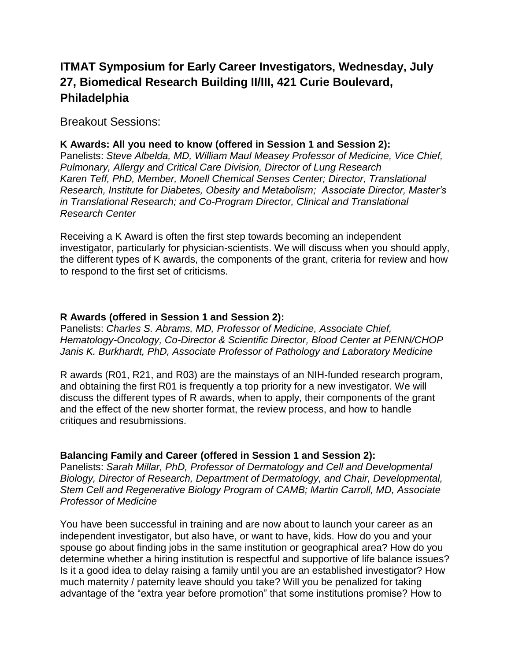# **ITMAT Symposium for Early Career Investigators, Wednesday, July 27, Biomedical Research Building II/III, 421 Curie Boulevard, Philadelphia**

Breakout Sessions:

## **K Awards: All you need to know (offered in Session 1 and Session 2):**

Panelists: *Steve Albelda, MD, William Maul Measey Professor of Medicine, Vice Chief, Pulmonary, Allergy and Critical Care Division, Director of Lung Research Karen Teff, PhD, Member, Monell Chemical Senses Center; Director, Translational Research, Institute for Diabetes, Obesity and Metabolism; Associate Director, Master's in Translational Research; and Co-Program Director, Clinical and Translational Research Center*

Receiving a K Award is often the first step towards becoming an independent investigator, particularly for physician-scientists. We will discuss when you should apply, the different types of K awards, the components of the grant, criteria for review and how to respond to the first set of criticisms.

#### **R Awards (offered in Session 1 and Session 2):**

Panelists: *Charles S. Abrams, MD, Professor of Medicine, Associate Chief, Hematology-Oncology, Co-Director & Scientific Director, Blood Center at PENN/CHOP Janis K. Burkhardt, PhD, Associate Professor of Pathology and Laboratory Medicine*

R awards (R01, R21, and R03) are the mainstays of an NIH-funded research program, and obtaining the first R01 is frequently a top priority for a new investigator. We will discuss the different types of R awards, when to apply, their components of the grant and the effect of the new shorter format, the review process, and how to handle critiques and resubmissions.

#### **Balancing Family and Career (offered in Session 1 and Session 2):**

Panelists: *Sarah Millar, PhD, Professor of Dermatology and Cell and Developmental Biology, Director of Research, Department of Dermatology, and Chair, Developmental, Stem Cell and Regenerative Biology Program of CAMB; Martin Carroll, MD, Associate Professor of Medicine*

You have been successful in training and are now about to launch your career as an independent investigator, but also have, or want to have, kids. How do you and your spouse go about finding jobs in the same institution or geographical area? How do you determine whether a hiring institution is respectful and supportive of life balance issues? Is it a good idea to delay raising a family until you are an established investigator? How much maternity / paternity leave should you take? Will you be penalized for taking advantage of the "extra year before promotion" that some institutions promise? How to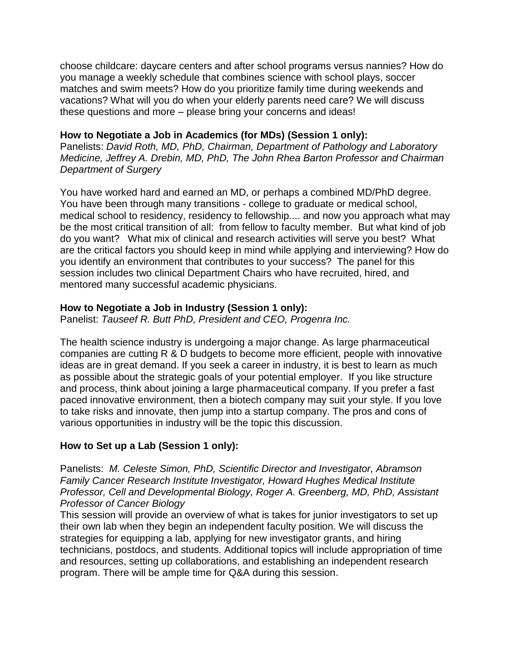choose childcare: daycare centers and after school programs versus nannies? How do you manage a weekly schedule that combines science with school plays, soccer matches and swim meets? How do you prioritize family time during weekends and vacations? What will you do when your elderly parents need care? We will discuss these questions and more – please bring your concerns and ideas!

#### **How to Negotiate a Job in Academics (for MDs) (Session 1 only):**

Panelists: *David Roth, MD, PhD, Chairman, Department of Pathology and Laboratory Medicine, Jeffrey A. Drebin, MD, PhD, The John Rhea Barton Professor and Chairman Department of Surgery*

You have worked hard and earned an MD, or perhaps a combined MD/PhD degree. You have been through many transitions - college to graduate or medical school, medical school to residency, residency to fellowship.... and now you approach what may be the most critical transition of all: from fellow to faculty member. But what kind of job do you want? What mix of clinical and research activities will serve you best? What are the critical factors you should keep in mind while applying and interviewing? How do you identify an environment that contributes to your success? The panel for this session includes two clinical Department Chairs who have recruited, hired, and mentored many successful academic physicians.

#### **How to Negotiate a Job in Industry (Session 1 only):**

Panelist: *Tauseef R. Butt PhD, President and CEO, Progenra Inc.*

The health science industry is undergoing a major change. As large pharmaceutical companies are cutting R & D budgets to become more efficient, people with innovative ideas are in great demand. If you seek a career in industry, it is best to learn as much as possible about the strategic goals of your potential employer. If you like structure and process, think about joining a large pharmaceutical company. If you prefer a fast paced innovative environment, then a biotech company may suit your style. If you love to take risks and innovate, then jump into a startup company. The pros and cons of various opportunities in industry will be the topic this discussion.

### **How to Set up a Lab (Session 1 only):**

Panelists: *M. Celeste Simon, PhD, Scientific Director and Investigator, Abramson Family Cancer Research Institute Investigator, Howard Hughes Medical Institute Professor, Cell and Developmental Biology, Roger A. Greenberg, MD, PhD, Assistant Professor of Cancer Biology*

This session will provide an overview of what is takes for junior investigators to set up their own lab when they begin an independent faculty position. We will discuss the strategies for equipping a lab, applying for new investigator grants, and hiring technicians, postdocs, and students. Additional topics will include appropriation of time and resources, setting up collaborations, and establishing an independent research program. There will be ample time for Q&A during this session.